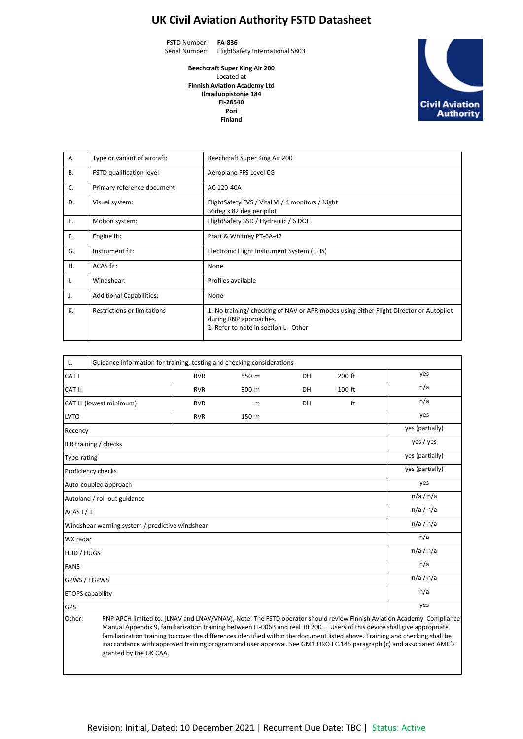## **UK Civil Aviation Authority FSTD Datasheet**

FSTD Number: **FA-836** Serial Number: FlightSafety International 5803

> **Beechcraft Super King Air 200** Located at **Finnish Aviation Academy Ltd Ilmailuopistonie 184 FI-28540 Pori Finland**



| A.        | Type or variant of aircraft:       | Beechcraft Super King Air 200                                                                                                                             |
|-----------|------------------------------------|-----------------------------------------------------------------------------------------------------------------------------------------------------------|
| <b>B.</b> | FSTD qualification level           | Aeroplane FFS Level CG                                                                                                                                    |
| C.        | Primary reference document         | AC 120-40A                                                                                                                                                |
| D.        | Visual system:                     | FlightSafety FVS / Vital VI / 4 monitors / Night<br>36 deg x 82 deg per pilot                                                                             |
| Ε.        | Motion system:                     | FlightSafety SSD / Hydraulic / 6 DOF                                                                                                                      |
| F.        | Engine fit:                        | Pratt & Whitney PT-6A-42                                                                                                                                  |
| G.        | Instrument fit:                    | Electronic Flight Instrument System (EFIS)                                                                                                                |
| Η.        | ACAS fit:                          | None                                                                                                                                                      |
| Ι.        | Windshear:                         | Profiles available                                                                                                                                        |
| J.        | <b>Additional Capabilities:</b>    | None                                                                                                                                                      |
| К.        | <b>Restrictions or limitations</b> | 1. No training/ checking of NAV or APR modes using either Flight Director or Autopilot<br>during RNP approaches.<br>2. Refer to note in section L - Other |

| L.                                                                                                                                                                                                                                                     | Guidance information for training, testing and checking considerations |                 |       |    |        |                 |  |
|--------------------------------------------------------------------------------------------------------------------------------------------------------------------------------------------------------------------------------------------------------|------------------------------------------------------------------------|-----------------|-------|----|--------|-----------------|--|
| CAT I                                                                                                                                                                                                                                                  |                                                                        | <b>RVR</b>      | 550 m | DH | 200 ft | yes             |  |
| <b>CAT II</b>                                                                                                                                                                                                                                          |                                                                        | <b>RVR</b>      | 300 m | DH | 100 ft | n/a             |  |
| CAT III (lowest minimum)<br>ft<br>DH<br><b>RVR</b><br>m                                                                                                                                                                                                |                                                                        |                 |       |    | n/a    |                 |  |
| <b>LVTO</b>                                                                                                                                                                                                                                            |                                                                        | <b>RVR</b>      | 150 m |    |        | yes             |  |
| Recency                                                                                                                                                                                                                                                |                                                                        |                 |       |    |        | yes (partially) |  |
|                                                                                                                                                                                                                                                        | IFR training / checks                                                  | yes / yes       |       |    |        |                 |  |
| Type-rating                                                                                                                                                                                                                                            |                                                                        | yes (partially) |       |    |        |                 |  |
| Proficiency checks                                                                                                                                                                                                                                     | yes (partially)                                                        |                 |       |    |        |                 |  |
| Auto-coupled approach                                                                                                                                                                                                                                  | yes                                                                    |                 |       |    |        |                 |  |
|                                                                                                                                                                                                                                                        | Autoland / roll out guidance                                           | n/a / n/a       |       |    |        |                 |  |
| ACAS I / II                                                                                                                                                                                                                                            |                                                                        | n/a / n/a       |       |    |        |                 |  |
| Windshear warning system / predictive windshear                                                                                                                                                                                                        | n/a / n/a                                                              |                 |       |    |        |                 |  |
| WX radar                                                                                                                                                                                                                                               |                                                                        | n/a             |       |    |        |                 |  |
| HUD / HUGS                                                                                                                                                                                                                                             |                                                                        | n/a / n/a       |       |    |        |                 |  |
| <b>FANS</b>                                                                                                                                                                                                                                            |                                                                        | n/a             |       |    |        |                 |  |
| GPWS / EGPWS                                                                                                                                                                                                                                           |                                                                        | n/a / n/a       |       |    |        |                 |  |
|                                                                                                                                                                                                                                                        | <b>ETOPS</b> capability                                                | n/a             |       |    |        |                 |  |
| <b>GPS</b>                                                                                                                                                                                                                                             | yes                                                                    |                 |       |    |        |                 |  |
| RNP APCH limited to: [LNAV and LNAV/VNAV], Note: The FSTD operator should review Finnish Aviation Academy Compliance<br>Other:<br>Manual Annondiv Q familiarization training botwoon ELOOCR and roal RE200 LIsers of this dovice shall give annonriate |                                                                        |                 |       |    |        |                 |  |

Manual Appendix 9, familiarization training between FI-006B and real BE200 . Users of this device shall give appropriate familiarization training to cover the differences identified within the document listed above. Training and checking shall be inaccordance with approved training program and user approval. See GM1 ORO.FC.145 paragraph (c) and associated AMC's granted by the UK CAA.